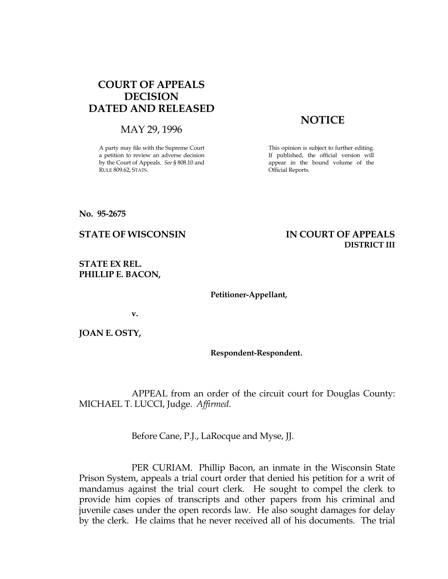## COURT OF APPEALS DECISION DATED AND RELEASED

MAY 29, 1996

A party may file with the Supreme Court a petition to review an adverse decision by the Court of Appeals. See § 808.10 and RULE 809.62, STATS.

## **NOTICE**

This opinion is subject to further editing. If published, the official version will appear in the bound volume of the Official Reports.

DISTRICT III

No. 95-2675

## STATE OF WISCONSIN IN COURT OF APPEALS

STATE EX REL. PHILLIP E. BACON,

Petitioner-Appellant,

v.

JOAN E. OSTY,

Respondent-Respondent.

 APPEAL from an order of the circuit court for Douglas County: MICHAEL T. LUCCI, Judge. Affirmed.

Before Cane, P.J., LaRocque and Myse, JJ.

 PER CURIAM. Phillip Bacon, an inmate in the Wisconsin State Prison System, appeals a trial court order that denied his petition for a writ of mandamus against the trial court clerk. He sought to compel the clerk to provide him copies of transcripts and other papers from his criminal and juvenile cases under the open records law. He also sought damages for delay by the clerk. He claims that he never received all of his documents. The trial